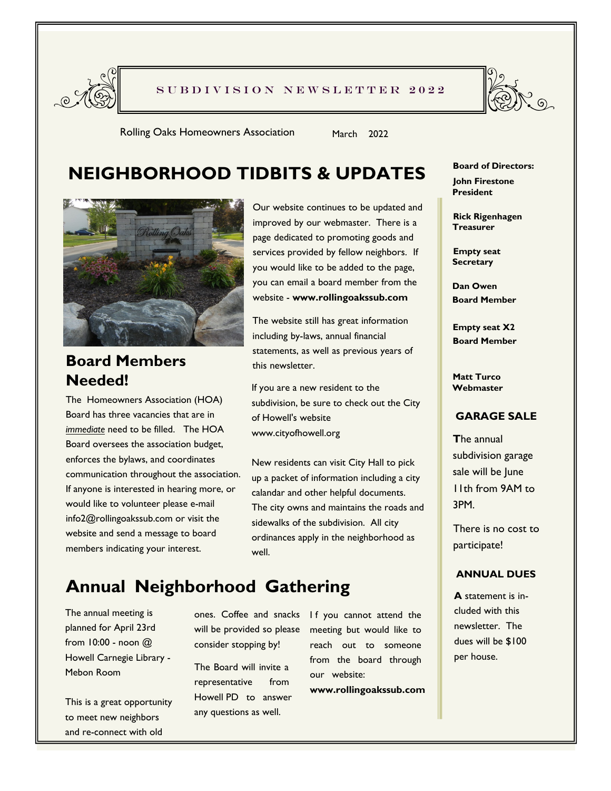



Rolling Oaks Homeowners Association March 2022

## **NEIGHBORHOOD TIDBITS & UPDATES**



## **Board Members Needed!**

The Homeowners Association (HOA) Board has three vacancies that are in *immediate* need to be filled. The HOA Board oversees the association budget, enforces the bylaws, and coordinates communication throughout the association. If anyone is interested in hearing more, or would like to volunteer please e-mail info2@rollingoakssub.com or visit the website and send a message to board members indicating your interest.

Our website continues to be updated and improved by our webmaster. There is a page dedicated to promoting goods and services provided by fellow neighbors. If you would like to be added to the page, you can email a board member from the website - **www.rollingoakssub.com**

The website still has great information including by-laws, annual financial statements, as well as previous years of this newsletter.

If you are a new resident to the subdivision, be sure to check out the City of Howell's website www.cityofhowell.org

New residents can visit City Hall to pick up a packet of information including a city calandar and other helpful documents. The city owns and maintains the roads and sidewalks of the subdivision. All city ordinances apply in the neighborhood as well.

# **Annual Neighborhood Gathering**

The annual meeting is planned for April 23rd from 10:00 - noon @ Howell Carnegie Library - Mebon Room

This is a great opportunity to meet new neighbors and re-connect with old

# will be provided so please consider stopping by!

The Board will invite a representative from Howell PD to answer any questions as well.

ones. Coffee and snacks I f you cannot attend the meeting but would like to reach out to someone from the board through our website:

**www.rollingoakssub.com**

#### **Board of Directors:**

**John Firestone President**

**Rick Rigenhagen Treasurer** 

**Empty seat Secretary** 

**Dan Owen Board Member** 

**Empty seat X2 Board Member**

**Matt Turco Webmaster**

#### **GARAGE SALE**

**T**he annual subdivision garage sale will be June 11th from 9AM to 3PM.

There is no cost to participate!

#### **ANNUAL DUES**

**A** statement is included with this newsletter. The dues will be \$100 per house.